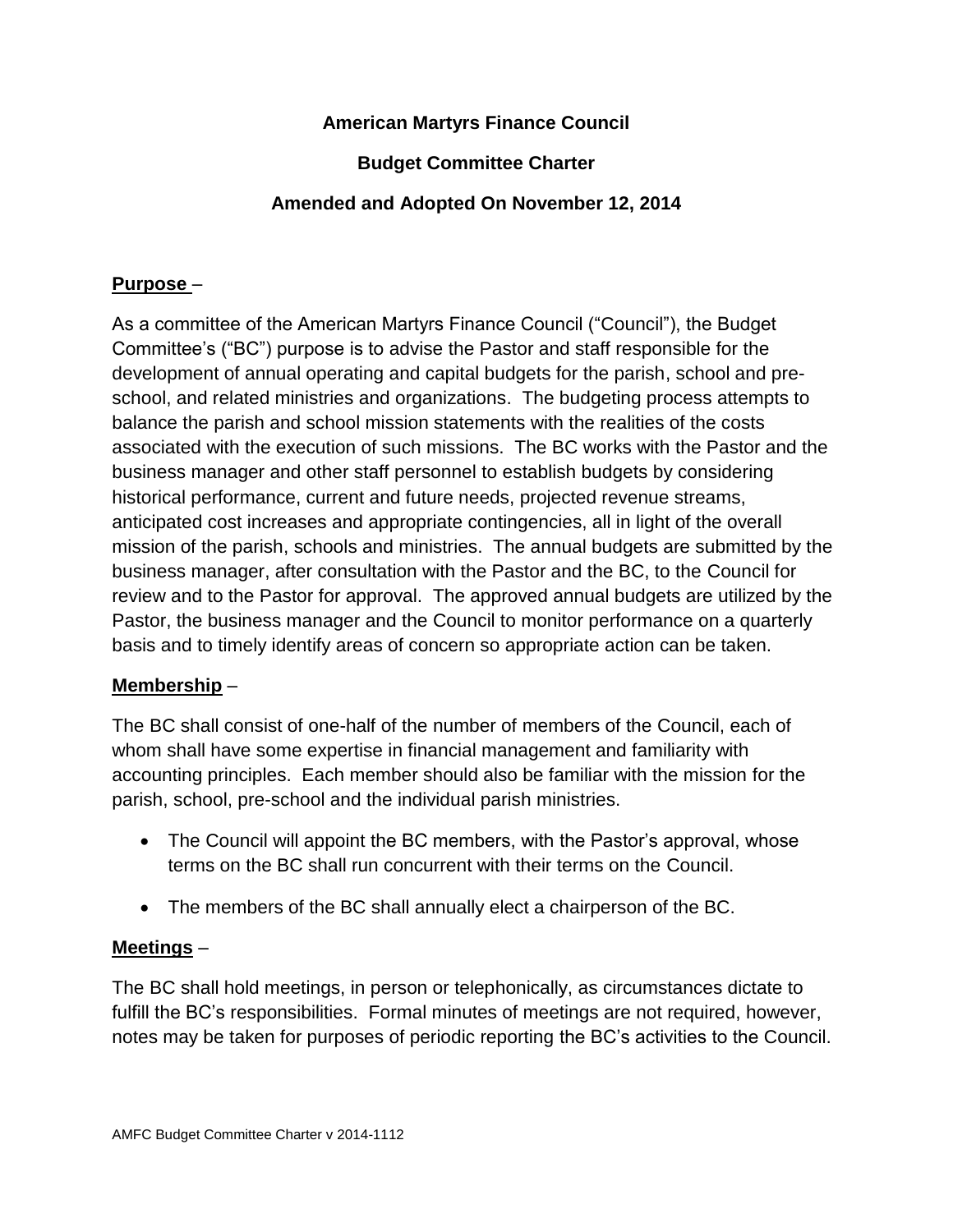# **American Martyrs Finance Council**

# **Budget Committee Charter**

# **Amended and Adopted On November 12, 2014**

#### **Purpose** –

As a committee of the American Martyrs Finance Council ("Council"), the Budget Committee's ("BC") purpose is to advise the Pastor and staff responsible for the development of annual operating and capital budgets for the parish, school and preschool, and related ministries and organizations. The budgeting process attempts to balance the parish and school mission statements with the realities of the costs associated with the execution of such missions. The BC works with the Pastor and the business manager and other staff personnel to establish budgets by considering historical performance, current and future needs, projected revenue streams, anticipated cost increases and appropriate contingencies, all in light of the overall mission of the parish, schools and ministries. The annual budgets are submitted by the business manager, after consultation with the Pastor and the BC, to the Council for review and to the Pastor for approval. The approved annual budgets are utilized by the Pastor, the business manager and the Council to monitor performance on a quarterly basis and to timely identify areas of concern so appropriate action can be taken.

#### **Membership** –

The BC shall consist of one-half of the number of members of the Council, each of whom shall have some expertise in financial management and familiarity with accounting principles. Each member should also be familiar with the mission for the parish, school, pre-school and the individual parish ministries.

- The Council will appoint the BC members, with the Pastor's approval, whose terms on the BC shall run concurrent with their terms on the Council.
- The members of the BC shall annually elect a chairperson of the BC.

### **Meetings** –

The BC shall hold meetings, in person or telephonically, as circumstances dictate to fulfill the BC's responsibilities. Formal minutes of meetings are not required, however, notes may be taken for purposes of periodic reporting the BC's activities to the Council.